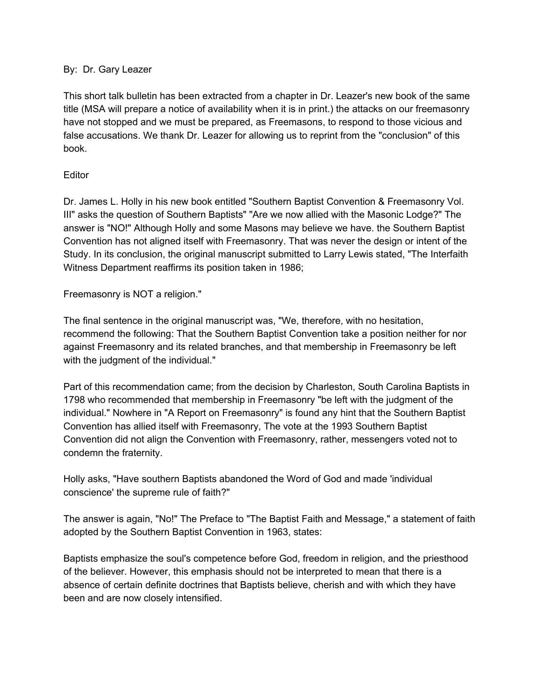## By: Dr. Gary Leazer

This short talk bulletin has been extracted from a chapter in Dr. Leazer's new book of the same title (MSA will prepare a notice of availability when it is in print.) the attacks on our freemasonry have not stopped and we must be prepared, as Freemasons, to respond to those vicious and false accusations. We thank Dr. Leazer for allowing us to reprint from the "conclusion" of this book.

## **Editor**

Dr. James L. Holly in his new book entitled "Southern Baptist Convention & Freemasonry Vol. III" asks the question of Southern Baptists" "Are we now allied with the Masonic Lodge?" The answer is "NO!" Although Holly and some Masons may believe we have. the Southern Baptist Convention has not aligned itself with Freemasonry. That was never the design or intent of the Study. In its conclusion, the original manuscript submitted to Larry Lewis stated, "The Interfaith Witness Department reaffirms its position taken in 1986;

Freemasonry is NOT a religion."

The final sentence in the original manuscript was, "We, therefore, with no hesitation, recommend the following: That the Southern Baptist Convention take a position neither for nor against Freemasonry and its related branches, and that membership in Freemasonry be left with the judgment of the individual."

Part of this recommendation came; from the decision by Charleston, South Carolina Baptists in 1798 who recommended that membership in Freemasonry "be left with the judgment of the individual." Nowhere in "A Report on Freemasonry" is found any hint that the Southern Baptist Convention has allied itself with Freemasonry, The vote at the 1993 Southern Baptist Convention did not align the Convention with Freemasonry, rather, messengers voted not to condemn the fraternity.

Holly asks, "Have southern Baptists abandoned the Word of God and made 'individual conscience' the supreme rule of faith?"

The answer is again, "No!" The Preface to "The Baptist Faith and Message," a statement of faith adopted by the Southern Baptist Convention in 1963, states:

Baptists emphasize the soul's competence before God, freedom in religion, and the priesthood of the believer. However, this emphasis should not be interpreted to mean that there is a absence of certain definite doctrines that Baptists believe, cherish and with which they have been and are now closely intensified.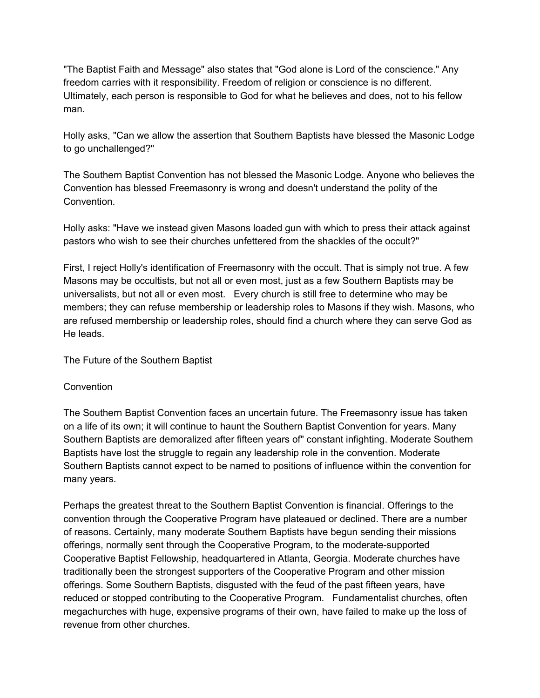"The Baptist Faith and Message" also states that "God alone is Lord of the conscience." Any freedom carries with it responsibility. Freedom of religion or conscience is no different. Ultimately, each person is responsible to God for what he believes and does, not to his fellow man.

Holly asks, "Can we allow the assertion that Southern Baptists have blessed the Masonic Lodge to go unchallenged?"

The Southern Baptist Convention has not blessed the Masonic Lodge. Anyone who believes the Convention has blessed Freemasonry is wrong and doesn't understand the polity of the Convention.

Holly asks: "Have we instead given Masons loaded gun with which to press their attack against pastors who wish to see their churches unfettered from the shackles of the occult?"

First, I reject Holly's identification of Freemasonry with the occult. That is simply not true. A few Masons may be occultists, but not all or even most, just as a few Southern Baptists may be universalists, but not all or even most. Every church is still free to determine who may be members; they can refuse membership or leadership roles to Masons if they wish. Masons, who are refused membership or leadership roles, should find a church where they can serve God as He leads.

The Future of the Southern Baptist

## **Convention**

The Southern Baptist Convention faces an uncertain future. The Freemasonry issue has taken on a life of its own; it will continue to haunt the Southern Baptist Convention for years. Many Southern Baptists are demoralized after fifteen years of" constant infighting. Moderate Southern Baptists have lost the struggle to regain any leadership role in the convention. Moderate Southern Baptists cannot expect to be named to positions of influence within the convention for many years.

Perhaps the greatest threat to the Southern Baptist Convention is financial. Offerings to the convention through the Cooperative Program have plateaued or declined. There are a number of reasons. Certainly, many moderate Southern Baptists have begun sending their missions offerings, normally sent through the Cooperative Program, to the moderate-supported Cooperative Baptist Fellowship, headquartered in Atlanta, Georgia. Moderate churches have traditionally been the strongest supporters of the Cooperative Program and other mission offerings. Some Southern Baptists, disgusted with the feud of the past fifteen years, have reduced or stopped contributing to the Cooperative Program. Fundamentalist churches, often megachurches with huge, expensive programs of their own, have failed to make up the loss of revenue from other churches.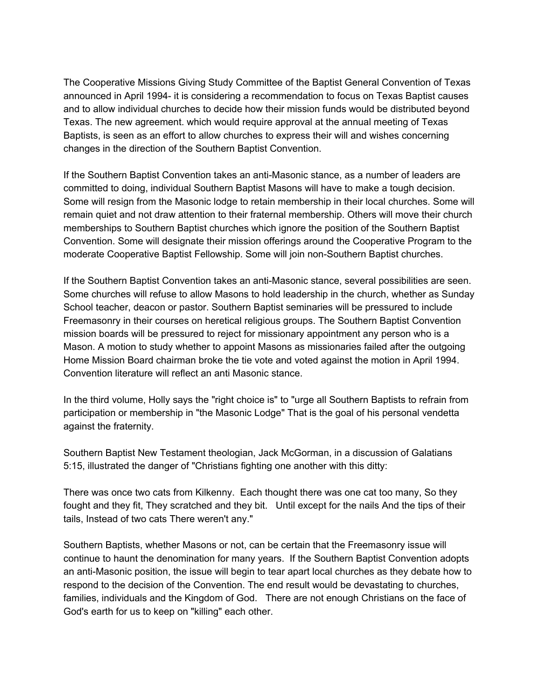The Cooperative Missions Giving Study Committee of the Baptist General Convention of Texas announced in April 1994- it is considering a recommendation to focus on Texas Baptist causes and to allow individual churches to decide how their mission funds would be distributed beyond Texas. The new agreement. which would require approval at the annual meeting of Texas Baptists, is seen as an effort to allow churches to express their will and wishes concerning changes in the direction of the Southern Baptist Convention.

If the Southern Baptist Convention takes an anti-Masonic stance, as a number of leaders are committed to doing, individual Southern Baptist Masons will have to make a tough decision. Some will resign from the Masonic lodge to retain membership in their local churches. Some will remain quiet and not draw attention to their fraternal membership. Others will move their church memberships to Southern Baptist churches which ignore the position of the Southern Baptist Convention. Some will designate their mission offerings around the Cooperative Program to the moderate Cooperative Baptist Fellowship. Some will join non-Southern Baptist churches.

If the Southern Baptist Convention takes an anti-Masonic stance, several possibilities are seen. Some churches will refuse to allow Masons to hold leadership in the church, whether as Sunday School teacher, deacon or pastor. Southern Baptist seminaries will be pressured to include Freemasonry in their courses on heretical religious groups. The Southern Baptist Convention mission boards will be pressured to reject for missionary appointment any person who is a Mason. A motion to study whether to appoint Masons as missionaries failed after the outgoing Home Mission Board chairman broke the tie vote and voted against the motion in April 1994. Convention literature will reflect an anti Masonic stance.

In the third volume, Holly says the "right choice is" to "urge all Southern Baptists to refrain from participation or membership in "the Masonic Lodge" That is the goal of his personal vendetta against the fraternity.

Southern Baptist New Testament theologian, Jack McGorman, in a discussion of Galatians 5:15, illustrated the danger of "Christians fighting one another with this ditty:

There was once two cats from Kilkenny. Each thought there was one cat too many, So they fought and they fit, They scratched and they bit. Until except for the nails And the tips of their tails, Instead of two cats There weren't any."

Southern Baptists, whether Masons or not, can be certain that the Freemasonry issue will continue to haunt the denomination for many years. If the Southern Baptist Convention adopts an anti-Masonic position, the issue will begin to tear apart local churches as they debate how to respond to the decision of the Convention. The end result would be devastating to churches, families, individuals and the Kingdom of God. There are not enough Christians on the face of God's earth for us to keep on "killing" each other.